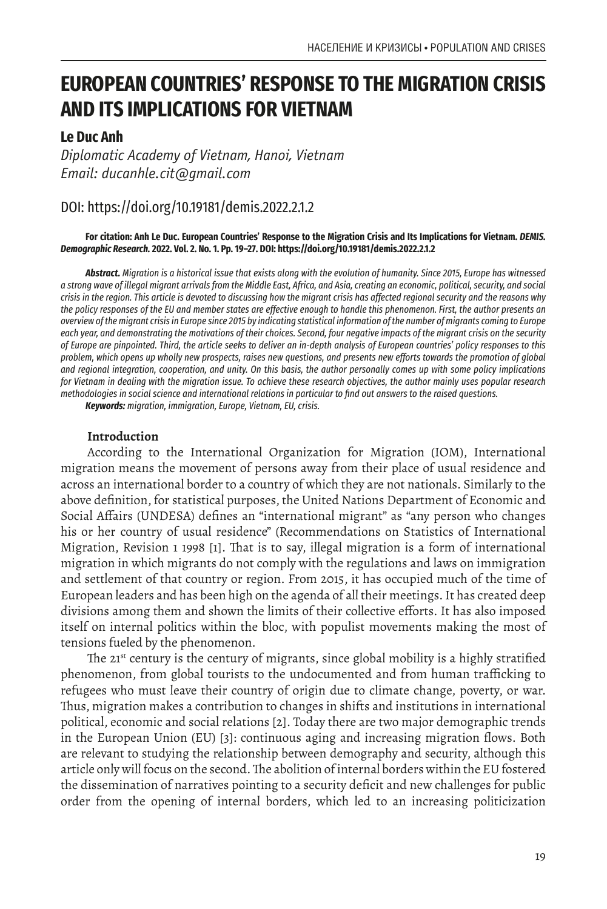# **EUROPEAN COUNTRIES' RESPONSE TO THE MIGRATION CRISIS AND ITS IMPLICATIONS FOR VIETNAM**

## **Le Duc Anh**

*Diplomatic Academy of Vietnam, Hanoi, Vietnam Email: ducanhle.cit@gmail.com*

# DOI: https://doi.org/10.19181/demis.2022.2.1.2

#### For citation: Anh Le Duc. European Countries' Response to the Migration Crisis and Its Implications for Vietnam. *DEMIS. Demographic Research.* **2022. Vol. 2. No. 1. Pp. 19–27. DOI: https://doi.org/10.19181/demis.2022.2.1.2**

*Abstract. Migration is a historical issue that exists along with the evolution of humanity. Since 2015, Europe has witnessed a strong wave of illegal migrant arrivals from the Middle East, Africa, and Asia, creating an economic, political, security, and social crisis in the region. This article is devoted to discussing how the migrant crisis has affected regional security and the reasons why the policy responses of the EU and member states are effective enough to handle this phenomenon. First, the author presents an overview of the migrant crisis in Europe since 2015 by indicating statistical information of the number of migrants coming to Europe each year, and demonstrating the motivations of their choices. Second, four negative impacts of the migrant crisis on the security of Europe are pinpointed. Third, the article seeks to deliver an in-depth analysis of European countries' policy responses to this problem, which opens up wholly new prospects, raises new questions, and presents new efforts towards the promotion of global and regional integration, cooperation, and unity. On this basis, the author personally comes up with some policy implications for Vietnam in dealing with the migration issue. To achieve these research objectives, the author mainly uses popular research methodologies in social science and international relations in particular to find out answers to the raised questions.*

*Keywords: migration, immigration, Europe, Vietnam, EU, crisis.* 

## **Introduction**

According to the International Organization for Migration (IOM), International migration means the movement of persons away from their place of usual residence and across an international border to a country of which they are not nationals. Similarly to the above definition, for statistical purposes, the United Nations Department of Economic and Social Affairs (UNDESA) defines an "international migrant" as "any person who changes his or her country of usual residence" (Recommendations on Statistics of International Migration, Revision 1 1998 [1]. That is to say, illegal migration is a form of international migration in which migrants do not comply with the regulations and laws on immigration and settlement of that country or region. From 2015, it has occupied much of the time of European leaders and has been high on the agenda of all their meetings. It has created deep divisions among them and shown the limits of their collective efforts. It has also imposed itself on internal politics within the bloc, with populist movements making the most of tensions fueled by the phenomenon.

The  $21^{st}$  century is the century of migrants, since global mobility is a highly stratified phenomenon, from global tourists to the undocumented and from human trafficking to refugees who must leave their country of origin due to climate change, poverty, or war. Thus, migration makes a contribution to changes in shifts and institutions in international political, economic and social relations [2]. Today there are two major demographic trends in the European Union (EU) [3]: continuous aging and increasing migration flows. Both are relevant to studying the relationship between demography and security, although this article only will focus on the second. The abolition of internal borders within the EU fostered the dissemination of narratives pointing to a security deficit and new challenges for public order from the opening of internal borders, which led to an increasing politicization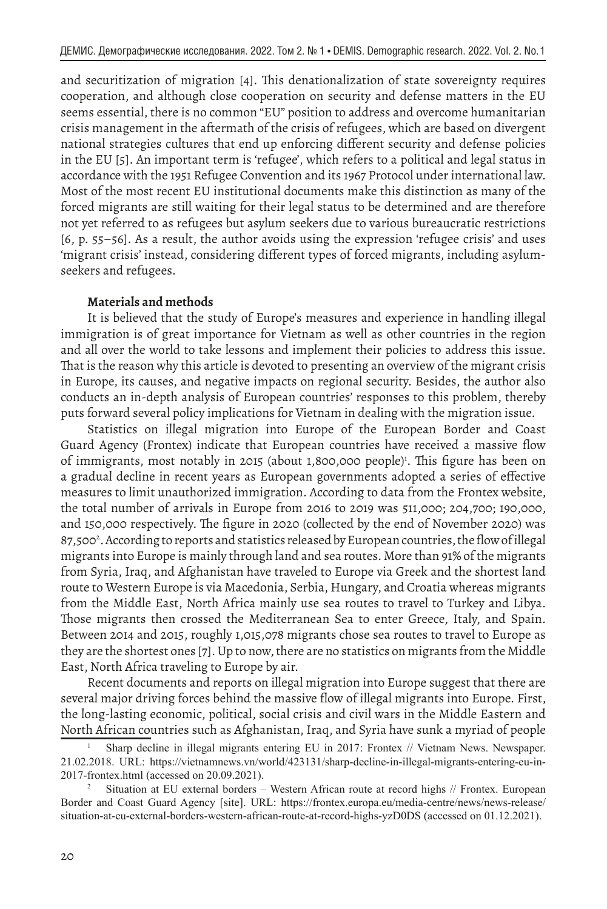and securitization of migration [4]. This denationalization of state sovereignty requires cooperation, and although close cooperation on security and defense matters in the EU seems essential, there is no common "EU" position to address and overcome humanitarian crisis management in the aftermath of the crisis of refugees, which are based on divergent national strategies cultures that end up enforcing different security and defense policies in the EU [5]. An important term is 'refugee', which refers to a political and legal status in accordance with the 1951 Refugee Convention and its 1967 Protocol under international law. Most of the most recent EU institutional documents make this distinction as many of the forced migrants are still waiting for their legal status to be determined and are therefore not yet referred to as refugees but asylum seekers due to various bureaucratic restrictions [6, p. 55–56]. As a result, the author avoids using the expression 'refugee crisis' and uses 'migrant crisis' instead, considering different types of forced migrants, including asylumseekers and refugees.

## **Materials and methods**

It is believed that the study of Europe's measures and experience in handling illegal immigration is of great importance for Vietnam as well as other countries in the region and all over the world to take lessons and implement their policies to address this issue. That is the reason why this article is devoted to presenting an overview of the migrant crisis in Europe, its causes, and negative impacts on regional security. Besides, the author also conducts an in-depth analysis of European countries' responses to this problem, thereby puts forward several policy implications for Vietnam in dealing with the migration issue.

Statistics on illegal migration into Europe of the European Border and Coast Guard Agency (Frontex) indicate that European countries have received a massive flow of immigrants, most notably in 2015 (about 1,800,000 people)<sup>1</sup>. This figure has been on a gradual decline in recent years as European governments adopted a series of effective measures to limit unauthorized immigration. According to data from the Frontex website, the total number of arrivals in Europe from 2016 to 2019 was 511,000; 204,700; 190,000, and 150,000 respectively. The figure in 2020 (collected by the end of November 2020) was 87,500<sup>2</sup>. According to reports and statistics released by European countries, the flow of illegal migrants into Europe is mainly through land and sea routes. More than 91% of the migrants from Syria, Iraq, and Afghanistan have traveled to Europe via Greek and the shortest land route to Western Europe is via Macedonia, Serbia, Hungary, and Croatia whereas migrants from the Middle East, North Africa mainly use sea routes to travel to Turkey and Libya. Those migrants then crossed the Mediterranean Sea to enter Greece, Italy, and Spain. Between 2014 and 2015, roughly 1,015,078 migrants chose sea routes to travel to Europe as they are the shortest ones [7]. Up to now, there are no statistics on migrants from the Middle East, North Africa traveling to Europe by air.

Recent documents and reports on illegal migration into Europe suggest that there are several major driving forces behind the massive flow of illegal migrants into Europe. First, the long-lasting economic, political, social crisis and civil wars in the Middle Eastern and North African countries such as Afghanistan, Iraq, and Syria have sunk a myriad of people

<sup>1</sup> Sharp decline in illegal migrants entering EU in 2017: Frontex // Vietnam News. Newspaper. 21.02.2018. URL: https://vietnamnews.vn/world/423131/sharp-decline-in-illegal-migrants-entering-eu-in-2017-frontex.html (accessed on 20.09.2021).

<sup>2</sup> Situation at EU external borders – Western African route at record highs // Frontex. European Border and Coast Guard Agency [site]. URL: https://frontex.europa.eu/media-centre/news/news-release/ situation-at-eu-external-borders-western-african-route-at-record-highs-yzD0DS (accessed on 01.12.2021).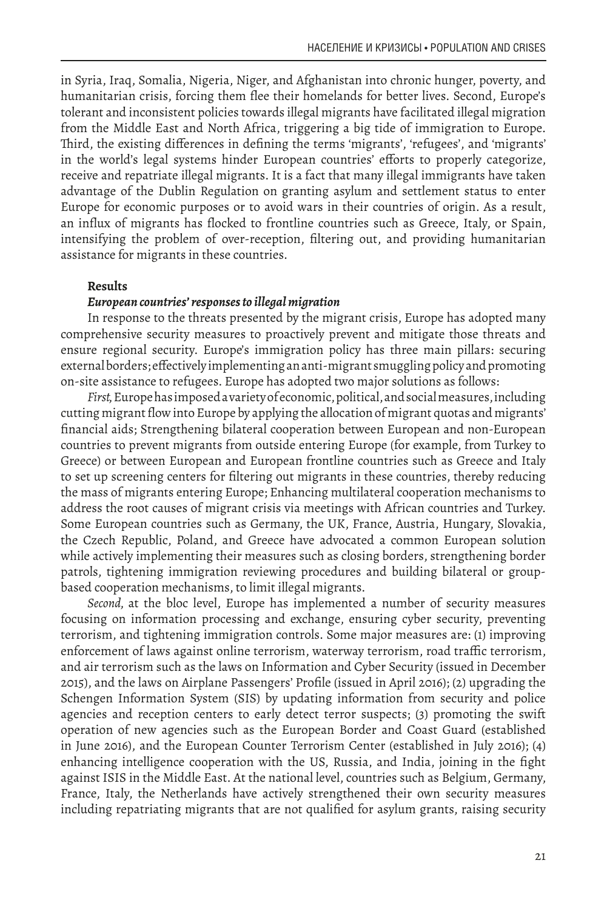in Syria, Iraq, Somalia, Nigeria, Niger, and Afghanistan into chronic hunger, poverty, and humanitarian crisis, forcing them flee their homelands for better lives. Second, Europe's tolerant and inconsistent policies towards illegal migrants have facilitated illegal migration from the Middle East and North Africa, triggering a big tide of immigration to Europe. Third, the existing differences in defining the terms 'migrants', 'refugees', and 'migrants' in the world's legal systems hinder European countries' efforts to properly categorize, receive and repatriate illegal migrants. It is a fact that many illegal immigrants have taken advantage of the Dublin Regulation on granting asylum and settlement status to enter Europe for economic purposes or to avoid wars in their countries of origin. As a result, an influx of migrants has flocked to frontline countries such as Greece, Italy, or Spain, intensifying the problem of over-reception, filtering out, and providing humanitarian assistance for migrants in these countries.

## **Results**

## *European countries' responses to illegal migration*

In response to the threats presented by the migrant crisis, Europe has adopted many comprehensive security measures to proactively prevent and mitigate those threats and ensure regional security. Europe's immigration policy has three main pillars: securing external borders; effectively implementing an anti-migrant smuggling policy and promoting on-site assistance to refugees. Europe has adopted two major solutions as follows:

*First,* Europe has imposed a variety of economic, political, and social measures, including cutting migrant flow into Europe by applying the allocation of migrant quotas and migrants' financial aids; Strengthening bilateral cooperation between European and non-European countries to prevent migrants from outside entering Europe (for example, from Turkey to Greece) or between European and European frontline countries such as Greece and Italy to set up screening centers for filtering out migrants in these countries, thereby reducing the mass of migrants entering Europe; Enhancing multilateral cooperation mechanisms to address the root causes of migrant crisis via meetings with African countries and Turkey. Some European countries such as Germany, the UK, France, Austria, Hungary, Slovakia, the Czech Republic, Poland, and Greece have advocated a common European solution while actively implementing their measures such as closing borders, strengthening border patrols, tightening immigration reviewing procedures and building bilateral or groupbased cooperation mechanisms, to limit illegal migrants.

*Second,* at the bloc level, Europe has implemented a number of security measures focusing on information processing and exchange, ensuring cyber security, preventing terrorism, and tightening immigration controls. Some major measures are: (1) improving enforcement of laws against online terrorism, waterway terrorism, road traffic terrorism, and air terrorism such as the laws on Information and Cyber Security (issued in December 2015), and the laws on Airplane Passengers' Profile (issued in April 2016); (2) upgrading the Schengen Information System (SIS) by updating information from security and police agencies and reception centers to early detect terror suspects; (3) promoting the swift operation of new agencies such as the European Border and Coast Guard (established in June 2016), and the European Counter Terrorism Center (established in July 2016); (4) enhancing intelligence cooperation with the US, Russia, and India, joining in the fight against ISIS in the Middle East. At the national level, countries such as Belgium, Germany, France, Italy, the Netherlands have actively strengthened their own security measures including repatriating migrants that are not qualified for asylum grants, raising security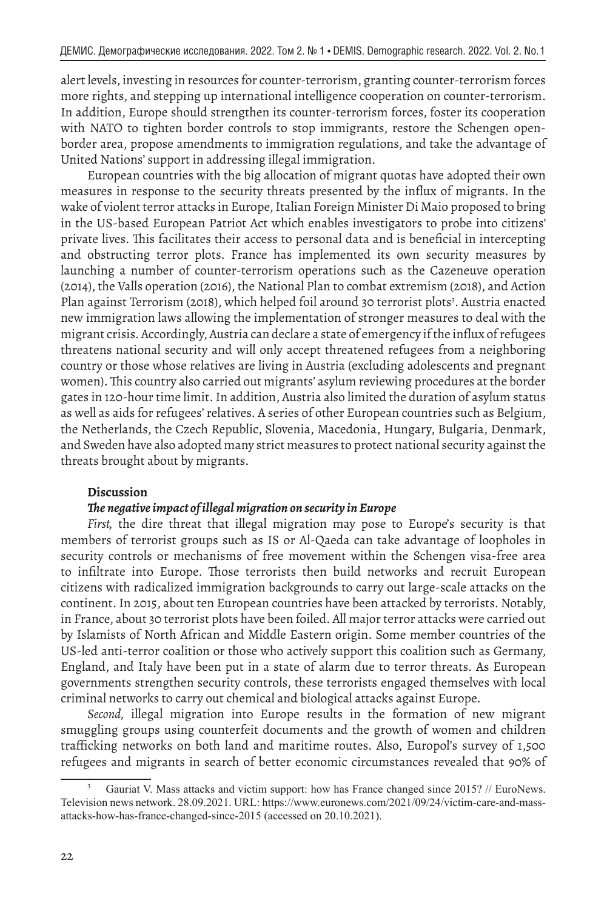alert levels, investing in resources for counter-terrorism, granting counter-terrorism forces more rights, and stepping up international intelligence cooperation on counter-terrorism. In addition, Europe should strengthen its counter-terrorism forces, foster its cooperation with NATO to tighten border controls to stop immigrants, restore the Schengen openborder area, propose amendments to immigration regulations, and take the advantage of United Nations' support in addressing illegal immigration.

European countries with the big allocation of migrant quotas have adopted their own measures in response to the security threats presented by the influx of migrants. In the wake of violent terror attacks in Europe, Italian Foreign Minister Di Maio proposed to bring in the US-based European Patriot Act which enables investigators to probe into citizens' private lives. This facilitates their access to personal data and is beneficial in intercepting and obstructing terror plots. France has implemented its own security measures by launching a number of counter-terrorism operations such as the Cazeneuve operation (2014), the Valls operation (2016), the National Plan to combat extremism (2018), and Action Plan against Terrorism (2018), which helped foil around 30 terrorist plots<sup>3</sup>. Austria enacted new immigration laws allowing the implementation of stronger measures to deal with the migrant crisis. Accordingly, Austria can declare a state of emergency if the influx of refugees threatens national security and will only accept threatened refugees from a neighboring country or those whose relatives are living in Austria (excluding adolescents and pregnant women). This country also carried out migrants' asylum reviewing procedures at the border gates in 120-hour time limit. In addition, Austria also limited the duration of asylum status as well as aids for refugees' relatives. A series of other European countries such as Belgium, the Netherlands, the Czech Republic, Slovenia, Macedonia, Hungary, Bulgaria, Denmark, and Sweden have also adopted many strict measures to protect national security against the threats brought about by migrants.

## **Discussion**

## *The negative impact of illegal migration on security in Europe*

*First,* the dire threat that illegal migration may pose to Europe's security is that members of terrorist groups such as IS or Al-Qaeda can take advantage of loopholes in security controls or mechanisms of free movement within the Schengen visa-free area to infiltrate into Europe. Those terrorists then build networks and recruit European citizens with radicalized immigration backgrounds to carry out large-scale attacks on the continent. In 2015, about ten European countries have been attacked by terrorists. Notably, in France, about 30 terrorist plots have been foiled. All major terror attacks were carried out by Islamists of North African and Middle Eastern origin. Some member countries of the US-led anti-terror coalition or those who actively support this coalition such as Germany, England, and Italy have been put in a state of alarm due to terror threats. As European governments strengthen security controls, these terrorists engaged themselves with local criminal networks to carry out chemical and biological attacks against Europe.

*Second,* illegal migration into Europe results in the formation of new migrant smuggling groups using counterfeit documents and the growth of women and children trafficking networks on both land and maritime routes. Also, Europol's survey of 1,500 refugees and migrants in search of better economic circumstances revealed that 90% of

Gauriat V. Mass attacks and victim support: how has France changed since 2015? // EuroNews. Television news network. 28.09.2021. URL: https://www.euronews.com/2021/09/24/victim-care-and-massattacks-how-has-france-changed-since-2015 (accessed on 20.10.2021).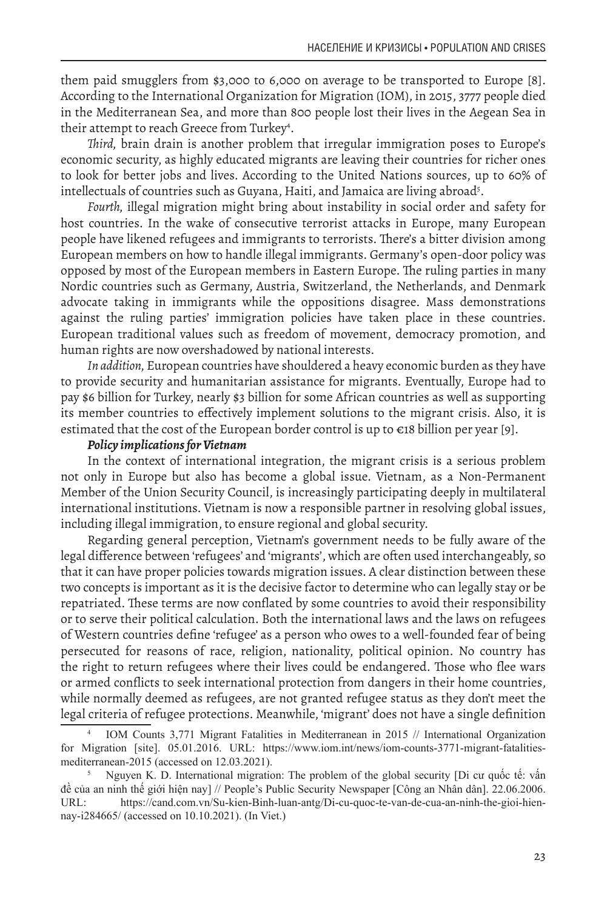them paid smugglers from \$3,000 to 6,000 on average to be transported to Europe [8]. According to the International Organization for Migration (IOM), in 2015, 3777 people died in the Mediterranean Sea, and more than 800 people lost their lives in the Aegean Sea in their attempt to reach Greece from Turkey<del>'</del>.

*Third,* brain drain is another problem that irregular immigration poses to Europe's economic security, as highly educated migrants are leaving their countries for richer ones to look for better jobs and lives. According to the United Nations sources, up to 60% of intellectuals of countries such as Guyana, Haiti, and Jamaica are living abroad<sup>5</sup>.

*Fourth,* illegal migration might bring about instability in social order and safety for host countries. In the wake of consecutive terrorist attacks in Europe, many European people have likened refugees and immigrants to terrorists. There's a bitter division among European members on how to handle illegal immigrants. Germany's open-door policy was opposed by most of the European members in Eastern Europe. The ruling parties in many Nordic countries such as Germany, Austria, Switzerland, the Netherlands, and Denmark advocate taking in immigrants while the oppositions disagree. Mass demonstrations against the ruling parties' immigration policies have taken place in these countries. European traditional values such as freedom of movement, democracy promotion, and human rights are now overshadowed by national interests.

*In addition,* European countries have shouldered a heavy economic burden as they have to provide security and humanitarian assistance for migrants. Eventually, Europe had to pay \$6 billion for Turkey, nearly \$3 billion for some African countries as well as supporting its member countries to effectively implement solutions to the migrant crisis. Also, it is estimated that the cost of the European border control is up to  $\epsilon$ 18 billion per year [9].

## *Policy implications for Vietnam*

In the context of international integration, the migrant crisis is a serious problem not only in Europe but also has become a global issue. Vietnam, as a Non-Permanent Member of the Union Security Council, is increasingly participating deeply in multilateral international institutions. Vietnam is now a responsible partner in resolving global issues, including illegal immigration, to ensure regional and global security.

Regarding general perception, Vietnam's government needs to be fully aware of the legal difference between 'refugees' and 'migrants', which are often used interchangeably, so that it can have proper policies towards migration issues. A clear distinction between these two concepts is important as it is the decisive factor to determine who can legally stay or be repatriated. These terms are now conflated by some countries to avoid their responsibility or to serve their political calculation. Both the international laws and the laws on refugees of Western countries define 'refugee' as a person who owes to a well-founded fear of being persecuted for reasons of race, religion, nationality, political opinion. No country has the right to return refugees where their lives could be endangered. Those who flee wars or armed conflicts to seek international protection from dangers in their home countries, while normally deemed as refugees, are not granted refugee status as they don't meet the legal criteria of refugee protections. Meanwhile, 'migrant' does not have a single definition

<sup>4</sup> IOM Counts 3,771 Migrant Fatalities in Mediterranean in 2015 // International Organization for Migration [site]. 05.01.2016. URL: https://www.iom.int/news/iom-counts-3771-migrant-fatalitiesmediterranean-2015 (accessed on 12.03.2021).

<sup>5</sup> Nguyen K. D. International migration: The problem of the global security [Di cư quốc tế: vấn đề của an ninh thế giới hiện nay] // People's Public Security Newspaper [Công an Nhân dân]. 22.06.2006. URL: https://cand.com.vn/Su-kien-Binh-luan-antg/Di-cu-quoc-te-van-de-cua-an-ninh-the-gioi-hiennay-i284665/ (accessed on 10.10.2021). (In Viet.)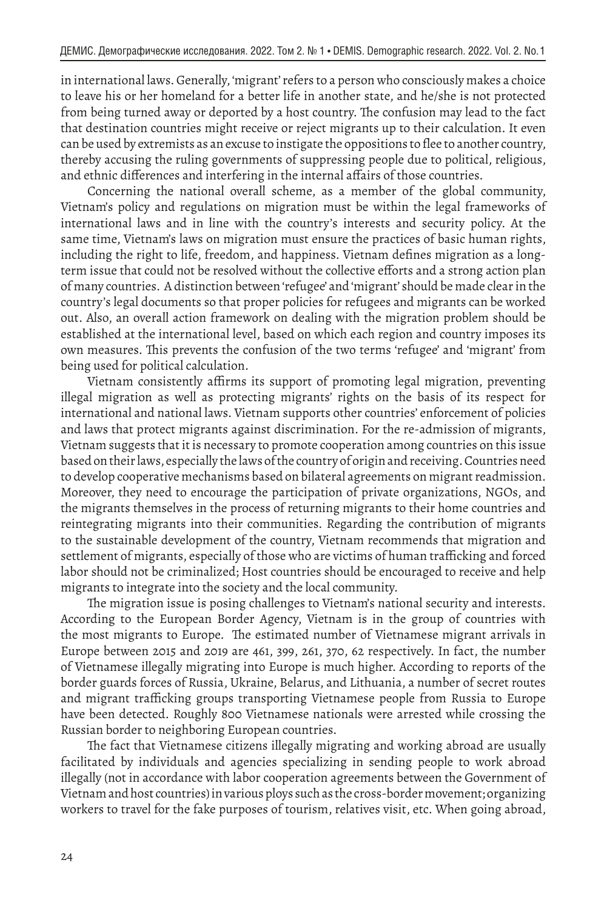in international laws. Generally, 'migrant' refers to a person who consciously makes a choice to leave his or her homeland for a better life in another state, and he/she is not protected from being turned away or deported by a host country. The confusion may lead to the fact that destination countries might receive or reject migrants up to their calculation. It even can be used by extremists as an excuse to instigate the oppositions to flee to another country, thereby accusing the ruling governments of suppressing people due to political, religious, and ethnic differences and interfering in the internal affairs of those countries.

Concerning the national overall scheme, as a member of the global community, Vietnam's policy and regulations on migration must be within the legal frameworks of international laws and in line with the country's interests and security policy. At the same time, Vietnam's laws on migration must ensure the practices of basic human rights, including the right to life, freedom, and happiness. Vietnam defines migration as a longterm issue that could not be resolved without the collective efforts and a strong action plan of many countries. A distinction between 'refugee' and 'migrant' should be made clear in the country's legal documents so that proper policies for refugees and migrants can be worked out. Also, an overall action framework on dealing with the migration problem should be established at the international level, based on which each region and country imposes its own measures. This prevents the confusion of the two terms 'refugee' and 'migrant' from being used for political calculation.

Vietnam consistently affirms its support of promoting legal migration, preventing illegal migration as well as protecting migrants' rights on the basis of its respect for international and national laws. Vietnam supports other countries' enforcement of policies and laws that protect migrants against discrimination. For the re-admission of migrants, Vietnam suggests that it is necessary to promote cooperation among countries on this issue based on their laws, especially the laws of the country of origin and receiving. Countries need to develop cooperative mechanisms based on bilateral agreements on migrant readmission. Moreover, they need to encourage the participation of private organizations, NGOs, and the migrants themselves in the process of returning migrants to their home countries and reintegrating migrants into their communities. Regarding the contribution of migrants to the sustainable development of the country, Vietnam recommends that migration and settlement of migrants, especially of those who are victims of human trafficking and forced labor should not be criminalized; Host countries should be encouraged to receive and help migrants to integrate into the society and the local community.

The migration issue is posing challenges to Vietnam's national security and interests. According to the European Border Agency, Vietnam is in the group of countries with the most migrants to Europe. The estimated number of Vietnamese migrant arrivals in Europe between 2015 and 2019 are 461, 399, 261, 370, 62 respectively. In fact, the number of Vietnamese illegally migrating into Europe is much higher. According to reports of the border guards forces of Russia, Ukraine, Belarus, and Lithuania, a number of secret routes and migrant trafficking groups transporting Vietnamese people from Russia to Europe have been detected. Roughly 800 Vietnamese nationals were arrested while crossing the Russian border to neighboring European countries.

The fact that Vietnamese citizens illegally migrating and working abroad are usually facilitated by individuals and agencies specializing in sending people to work abroad illegally (not in accordance with labor cooperation agreements between the Government of Vietnam and host countries) in various ploys such as the cross-border movement; organizing workers to travel for the fake purposes of tourism, relatives visit, etc. When going abroad,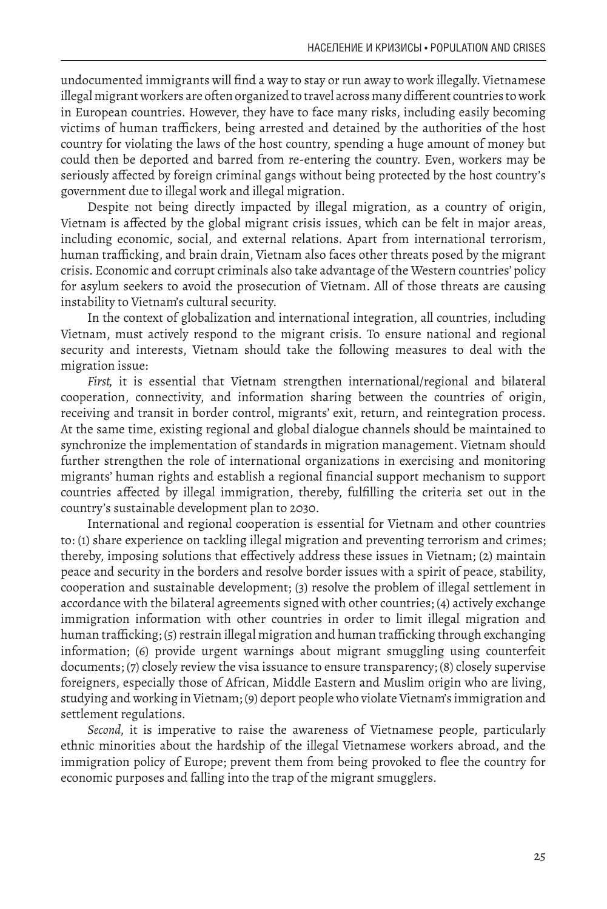undocumented immigrants will find a way to stay or run away to work illegally. Vietnamese illegal migrant workers are often organized to travel across many different countries to work in European countries. However, they have to face many risks, including easily becoming victims of human traffickers, being arrested and detained by the authorities of the host country for violating the laws of the host country, spending a huge amount of money but could then be deported and barred from re-entering the country. Even, workers may be seriously affected by foreign criminal gangs without being protected by the host country's government due to illegal work and illegal migration.

Despite not being directly impacted by illegal migration, as a country of origin, Vietnam is affected by the global migrant crisis issues, which can be felt in major areas, including economic, social, and external relations. Apart from international terrorism, human trafficking, and brain drain, Vietnam also faces other threats posed by the migrant crisis. Economic and corrupt criminals also take advantage of the Western countries' policy for asylum seekers to avoid the prosecution of Vietnam. All of those threats are causing instability to Vietnam's cultural security.

In the context of globalization and international integration, all countries, including Vietnam, must actively respond to the migrant crisis. To ensure national and regional security and interests, Vietnam should take the following measures to deal with the migration issue:

*First,* it is essential that Vietnam strengthen international/regional and bilateral cooperation, connectivity, and information sharing between the countries of origin, receiving and transit in border control, migrants' exit, return, and reintegration process. At the same time, existing regional and global dialogue channels should be maintained to synchronize the implementation of standards in migration management. Vietnam should further strengthen the role of international organizations in exercising and monitoring migrants' human rights and establish a regional financial support mechanism to support countries affected by illegal immigration, thereby, fulfilling the criteria set out in the country's sustainable development plan to 2030.

International and regional cooperation is essential for Vietnam and other countries to: (1) share experience on tackling illegal migration and preventing terrorism and crimes; thereby, imposing solutions that effectively address these issues in Vietnam; (2) maintain peace and security in the borders and resolve border issues with a spirit of peace, stability, cooperation and sustainable development; (3) resolve the problem of illegal settlement in accordance with the bilateral agreements signed with other countries; (4) actively exchange immigration information with other countries in order to limit illegal migration and human trafficking; (5) restrain illegal migration and human trafficking through exchanging information; (6) provide urgent warnings about migrant smuggling using counterfeit documents; (7) closely review the visa issuance to ensure transparency; (8) closely supervise foreigners, especially those of African, Middle Eastern and Muslim origin who are living, studying and working in Vietnam; (9) deport people who violate Vietnam's immigration and settlement regulations.

*Second,* it is imperative to raise the awareness of Vietnamese people, particularly ethnic minorities about the hardship of the illegal Vietnamese workers abroad, and the immigration policy of Europe; prevent them from being provoked to flee the country for economic purposes and falling into the trap of the migrant smugglers.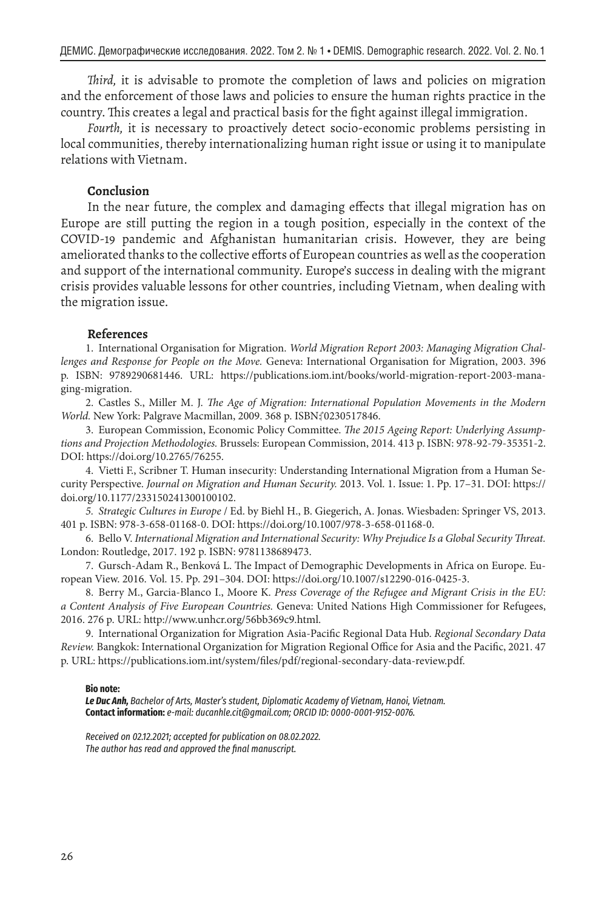*Third,* it is advisable to promote the completion of laws and policies on migration and the enforcement of those laws and policies to ensure the human rights practice in the country. This creates a legal and practical basis for the fight against illegal immigration.

*Fourth,* it is necessary to proactively detect socio-economic problems persisting in local communities, thereby internationalizing human right issue or using it to manipulate relations with Vietnam.

## **Conclusion**

In the near future, the complex and damaging effects that illegal migration has on Europe are still putting the region in a tough position, especially in the context of the COVID-19 pandemic and Afghanistan humanitarian crisis. However, they are being ameliorated thanks to the collective efforts of European countries as well as the cooperation and support of the international community. Europe's success in dealing with the migrant crisis provides valuable lessons for other countries, including Vietnam, when dealing with the migration issue.

## **References**

1. International Organisation for Migration. *World Migration Report 2003: Managing Migration Challenges and Response for People on the Move.* Geneva: International Organisation for Migration, 2003. 396 p. ISBN: 9789290681446. URL: https://publications.iom.int/books/world-migration-report-2003-managing-migration.

2. Castles S., Miller M. J. *The Age of Migration: International Population Movements in the Modern World.* New York: Palgrave Macmillan, 2009. 368 p. ISBN: 0230517846.

3. European Commission, Economic Policy Committee. *The 2015 Ageing Report: Underlying Assumptions and Projection Methodologies.* Brussels: European Commission, 2014. 413 p. ISBN: 978-92-79-35351-2. DOI: https://doi.org/10.2765/76255.

4. Vietti F., Scribner T. Human insecurity: Understanding International Migration from a Human Security Perspective. *Journal on Migration and Human Security.* 2013. Vol. 1. Issue: 1. Pp. 17–31. DOI: https:// doi.org/10.1177/233150241300100102.

*5. Strategic Cultures in Europe* / Ed. by Biehl H., B. Giegerich, A. Jonas. Wiesbaden: Springer VS, 2013. 401 p. ISBN: 978-3-658-01168-0. DOI: https://doi.org/10.1007/978-3-658-01168-0.

6. Bello V. *International Migration and International Security: Why Prejudice Is a Global Security Threat.*  London: Routledge, 2017. 192 p. ISBN: 9781138689473.

7. Gursch-Adam R., Benková L. The Impact of Demographic Developments in Africa on Europe. European View. 2016. Vol. 15. Pp. 291–304. DOI: https://doi.org/10.1007/s12290-016-0425-3.

8. Berry M., Garcia-Blanco I., Moore K. *Press Coverage of the Refugee and Migrant Crisis in the EU: a Content Analysis of Five European Countries.* Geneva: United Nations High Commissioner for Refugees, 2016. 276 p. URL: http://www.unhcr.org/56bb369c9.html.

9. International Organization for Migration Asia-Pacific Regional Data Hub. *Regional Secondary Data Review.* Bangkok: International Organization for Migration Regional Office for Asia and the Pacific, 2021. 47 p. URL: https://publications.iom.int/system/files/pdf/regional-secondary-data-review.pdf.

### **Bio note:**

*Le Duc Anh, Bachelor of Arts, Master's student, Diplomatic Academy of Vietnam, Hanoi, Vietnam.* **Contact information:** *e-mail: ducanhle.cit@gmail.com; ORCID ID: 0000-0001-9152-0076.*

*Received on 02.12.2021; accepted for publication on 08.02.2022. The author has read and approved the final manuscript.*